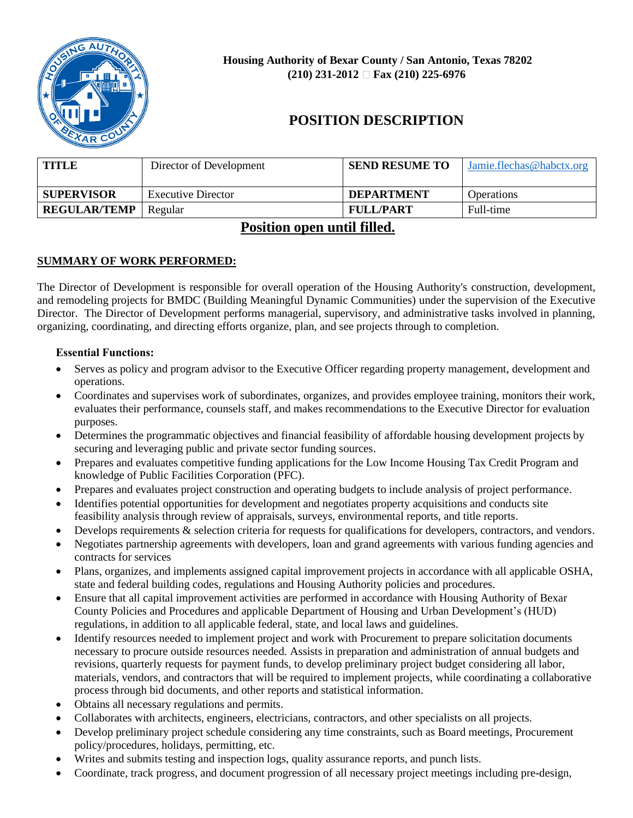

# **POSITION DESCRIPTION**

| <b>TITLE</b>        | Director of Development   | <b>SEND RESUME TO</b> | Jamie.flechas@habctx.org |
|---------------------|---------------------------|-----------------------|--------------------------|
| <b>SUPERVISOR</b>   | <b>Executive Director</b> | <b>DEPARTMENT</b>     | Operations               |
| <b>REGULAR/TEMP</b> | Regular                   | <b>FULL/PART</b>      | Full-time                |

## **Position open until filled.**

## **SUMMARY OF WORK PERFORMED:**

The Director of Development is responsible for overall operation of the Housing Authority's construction, development, and remodeling projects for BMDC (Building Meaningful Dynamic Communities) under the supervision of the Executive Director. The Director of Development performs managerial, supervisory, and administrative tasks involved in planning, organizing, coordinating, and directing efforts organize, plan, and see projects through to completion.

## **Essential Functions:**

- Serves as policy and program advisor to the Executive Officer regarding property management, development and operations.
- Coordinates and supervises work of subordinates, organizes, and provides employee training, monitors their work, evaluates their performance, counsels staff, and makes recommendations to the Executive Director for evaluation purposes.
- Determines the programmatic objectives and financial feasibility of affordable housing development projects by securing and leveraging public and private sector funding sources.
- Prepares and evaluates competitive funding applications for the Low Income Housing Tax Credit Program and knowledge of Public Facilities Corporation (PFC).
- Prepares and evaluates project construction and operating budgets to include analysis of project performance.
- Identifies potential opportunities for development and negotiates property acquisitions and conducts site feasibility analysis through review of appraisals, surveys, environmental reports, and title reports.
- Develops requirements & selection criteria for requests for qualifications for developers, contractors, and vendors.
- Negotiates partnership agreements with developers, loan and grand agreements with various funding agencies and contracts for services
- Plans, organizes, and implements assigned capital improvement projects in accordance with all applicable OSHA, state and federal building codes, regulations and Housing Authority policies and procedures.
- Ensure that all capital improvement activities are performed in accordance with Housing Authority of Bexar County Policies and Procedures and applicable Department of Housing and Urban Development's (HUD) regulations, in addition to all applicable federal, state, and local laws and guidelines.
- Identify resources needed to implement project and work with Procurement to prepare solicitation documents necessary to procure outside resources needed. Assists in preparation and administration of annual budgets and revisions, quarterly requests for payment funds, to develop preliminary project budget considering all labor, materials, vendors, and contractors that will be required to implement projects, while coordinating a collaborative process through bid documents, and other reports and statistical information.
- Obtains all necessary regulations and permits.
- Collaborates with architects, engineers, electricians, contractors, and other specialists on all projects.
- Develop preliminary project schedule considering any time constraints, such as Board meetings, Procurement policy/procedures, holidays, permitting, etc.
- Writes and submits testing and inspection logs, quality assurance reports, and punch lists.
- Coordinate, track progress, and document progression of all necessary project meetings including pre-design,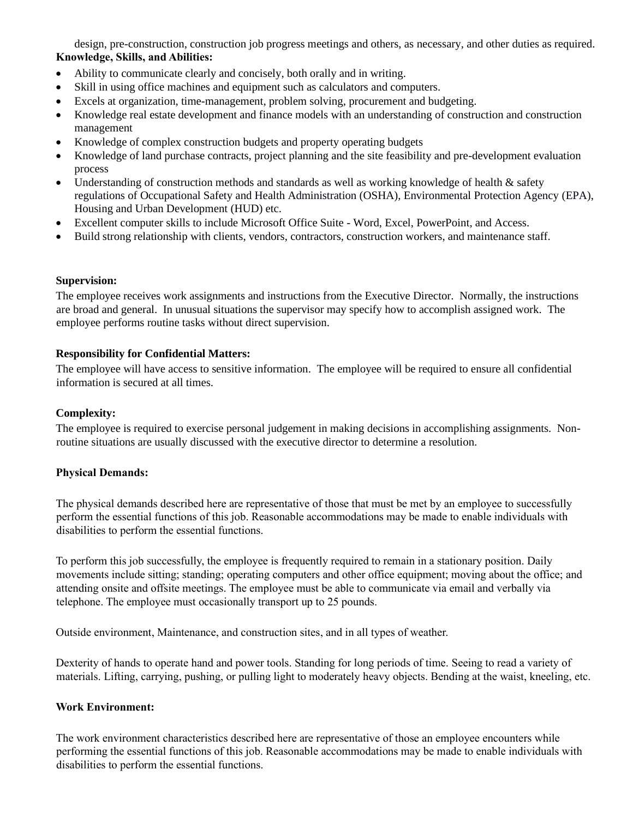design, pre-construction, construction job progress meetings and others, as necessary, and other duties as required. **Knowledge, Skills, and Abilities:**

- Ability to communicate clearly and concisely, both orally and in writing.
- Skill in using office machines and equipment such as calculators and computers.
- Excels at organization, time-management, problem solving, procurement and budgeting.
- Knowledge real estate development and finance models with an understanding of construction and construction management
- Knowledge of complex construction budgets and property operating budgets
- Knowledge of land purchase contracts, project planning and the site feasibility and pre-development evaluation process
- Understanding of construction methods and standards as well as working knowledge of health & safety regulations of Occupational Safety and Health Administration (OSHA), Environmental Protection Agency (EPA), Housing and Urban Development (HUD) etc.
- Excellent computer skills to include Microsoft Office Suite Word, Excel, PowerPoint, and Access.
- Build strong relationship with clients, vendors, contractors, construction workers, and maintenance staff.

#### **Supervision:**

The employee receives work assignments and instructions from the Executive Director. Normally, the instructions are broad and general. In unusual situations the supervisor may specify how to accomplish assigned work. The employee performs routine tasks without direct supervision.

#### **Responsibility for Confidential Matters:**

The employee will have access to sensitive information. The employee will be required to ensure all confidential information is secured at all times.

#### **Complexity:**

The employee is required to exercise personal judgement in making decisions in accomplishing assignments. Nonroutine situations are usually discussed with the executive director to determine a resolution.

#### **Physical Demands:**

The physical demands described here are representative of those that must be met by an employee to successfully perform the essential functions of this job. Reasonable accommodations may be made to enable individuals with disabilities to perform the essential functions.

To perform this job successfully, the employee is frequently required to remain in a stationary position. Daily movements include sitting; standing; operating computers and other office equipment; moving about the office; and attending onsite and offsite meetings. The employee must be able to communicate via email and verbally via telephone. The employee must occasionally transport up to 25 pounds.

Outside environment, Maintenance, and construction sites, and in all types of weather.

Dexterity of hands to operate hand and power tools. Standing for long periods of time. Seeing to read a variety of materials. Lifting, carrying, pushing, or pulling light to moderately heavy objects. Bending at the waist, kneeling, etc.

#### **Work Environment:**

The work environment characteristics described here are representative of those an employee encounters while performing the essential functions of this job. Reasonable accommodations may be made to enable individuals with disabilities to perform the essential functions.